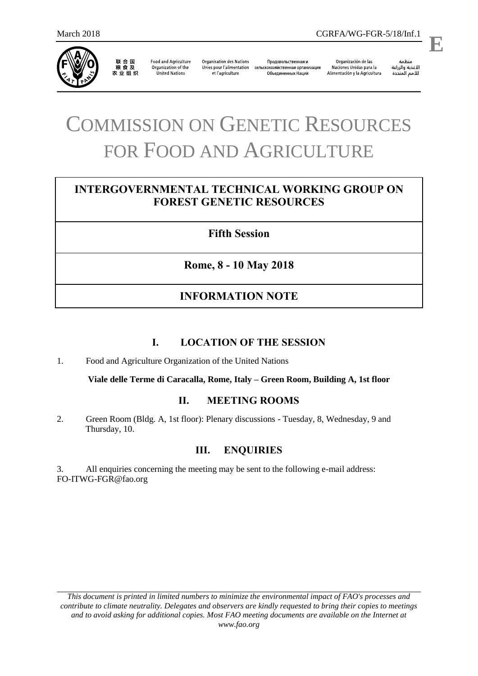

联合国<br>粮食及 农业组织

**Food and Agriculture** Organization of the **United Nations** 

**Organisation des Nations** Unies pour l'alimentation et l'agriculture

Продовольственная и сельскохозяйственная организация Объединенных Наций

Organización de las Naciones Unidas para la Alimentación y la Agricultura

منظمة الأغذية والزراعة  **E**

# COMMISSION ON GENETIC RESOURCES FOR FOOD AND AGRICULTURE

# **INTERGOVERNMENTAL TECHNICAL WORKING GROUP ON FOREST GENETIC RESOURCES**

# **Fifth Session**

**Rome, 8 - 10 May 2018**

# **INFORMATION NOTE**

# **I. LOCATION OF THE SESSION**

1. Food and Agriculture Organization of the United Nations

**Viale delle Terme di Caracalla, Rome, Italy – Green Room, Building A, 1st floor**

# **II. MEETING ROOMS**

2. Green Room (Bldg. A, 1st floor): Plenary discussions - Tuesday, 8, Wednesday, 9 and Thursday, 10.

# **III. ENQUIRIES**

3. All enquiries concerning the meeting may be sent to the following e-mail address: [FO-ITWG-FGR@fao.org](mailto:FO-ITWG-FGR@fao.org)

*This document is printed in limited numbers to minimize the environmental impact of FAO's processes and contribute to climate neutrality. Delegates and observers are kindly requested to bring their copies to meetings and to avoid asking for additional copies. Most FAO meeting documents are available on the Internet at www.fao.org*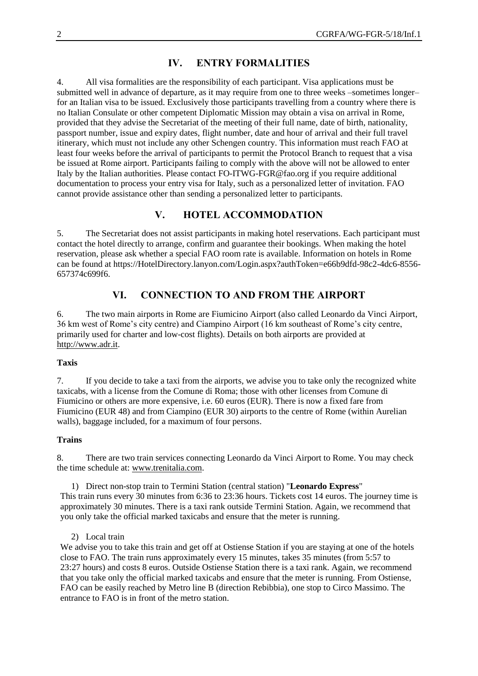# **IV. ENTRY FORMALITIES**

4. All visa formalities are the responsibility of each participant. Visa applications must be submitted well in advance of departure, as it may require from one to three weeks –sometimes longer– for an Italian visa to be issued. Exclusively those participants travelling from a country where there is no Italian Consulate or other competent Diplomatic Mission may obtain a visa on arrival in Rome, provided that they advise the Secretariat of the meeting of their full name, date of birth, nationality, passport number, issue and expiry dates, flight number, date and hour of arrival and their full travel itinerary, which must not include any other Schengen country. This information must reach FAO at least four weeks before the arrival of participants to permit the Protocol Branch to request that a visa be issued at Rome airport. Participants failing to comply with the above will not be allowed to enter Italy by the Italian authorities. Please contact [FO-ITWG-FGR@fao.org](mailto:FO-ITWG-FGR@fao.org) if you require additional documentation to process your entry visa for Italy, such as a personalized letter of invitation. FAO cannot provide assistance other than sending a personalized letter to participants.

# **V. HOTEL ACCOMMODATION**

5. The Secretariat does not assist participants in making hotel reservations. Each participant must contact the hotel directly to arrange, confirm and guarantee their bookings. When making the hotel reservation, please ask whether a special FAO room rate is available. Information on hotels in Rome can be found at [https://HotelDirectory.lanyon.com/Login.aspx?authToken=e66b9dfd-98c2-4dc6-8556-](https://hoteldirectory.lanyon.com/Login.aspx?authToken=e66b9dfd-98c2-4dc6-8556-657374c699f6) [657374c699f6.](https://hoteldirectory.lanyon.com/Login.aspx?authToken=e66b9dfd-98c2-4dc6-8556-657374c699f6)

# **VI. CONNECTION TO AND FROM THE AIRPORT**

6. The two main airports in Rome are Fiumicino Airport (also called Leonardo da Vinci Airport, 36 km west of Rome's city centre) and Ciampino Airport (16 km southeast of Rome's city centre, primarily used for charter and low-cost flights). Details on both airports are provided at [http://www.adr.it.](http://www.adr.it/)

## **Taxis**

7. If you decide to take a taxi from the airports, we advise you to take only the recognized white taxicabs, with a license from the Comune di Roma; those with other licenses from Comune di Fiumicino or others are more expensive, i.e. 60 euros (EUR). There is now a fixed fare from Fiumicino (EUR 48) and from Ciampino (EUR 30) airports to the centre of Rome (within Aurelian walls), baggage included, for a maximum of four persons.

## **Trains**

8. There are two train services connecting Leonardo da Vinci Airport to Rome. You may check the time schedule at: www.trenitalia.com.

1) Direct non-stop train to Termini Station (central station) "**Leonardo Express**" This train runs every 30 minutes from 6:36 to 23:36 hours. Tickets cost 14 euros. The journey time is approximately 30 minutes. There is a taxi rank outside Termini Station. Again, we recommend that you only take the official marked taxicabs and ensure that the meter is running.

## 2) Local train

We advise you to take this train and get off at Ostiense Station if you are staying at one of the hotels close to FAO. The train runs approximately every 15 minutes, takes 35 minutes (from 5:57 to 23:27 hours) and costs 8 euros. Outside Ostiense Station there is a taxi rank. Again, we recommend that you take only the official marked taxicabs and ensure that the meter is running. From Ostiense, FAO can be easily reached by Metro line B (direction Rebibbia), one stop to Circo Massimo. The entrance to FAO is in front of the metro station.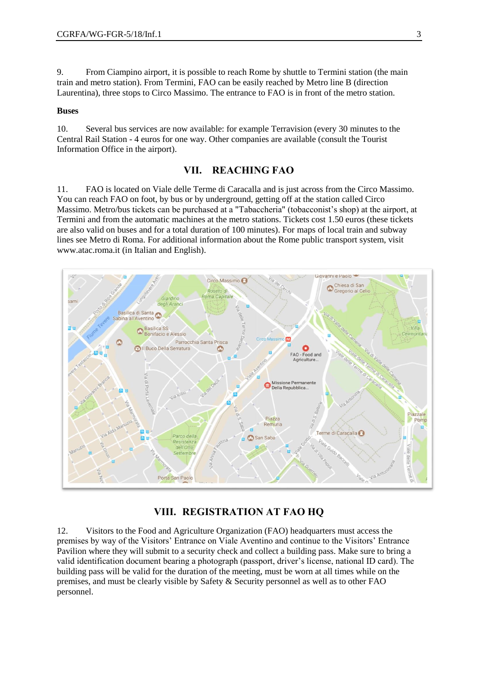9. From Ciampino airport, it is possible to reach Rome by shuttle to Termini station (the main train and metro station). From Termini, FAO can be easily reached by Metro line B (direction Laurentina), three stops to Circo Massimo. The entrance to FAO is in front of the metro station.

## **Buses**

10. Several bus services are now available: for example Terravision (every 30 minutes to the Central Rail Station - 4 euros for one way. Other companies are available (consult the Tourist Information Office in the airport).

## **VII. REACHING FAO**

11. FAO is located on Viale delle Terme di Caracalla and is just across from the Circo Massimo. You can reach FAO on foot, by bus or by underground, getting off at the station called Circo Massimo. Metro/bus tickets can be purchased at a "Tabaccheria" (tobacconist's shop) at the airport, at Termini and from the automatic machines at the metro stations. Tickets cost 1.50 euros (these tickets are also valid on buses and for a total duration of 100 minutes). For maps of local train and subway lines see [Metro di Roma.](http://www.alfanet.it/welcomeitaly/roma/bus_metro/mappametro.html) For additional information about the Rome public transport system, visit [www.atac.roma.it](http://www.atac.roma.it/) (in Italian and English).



## **VIII. REGISTRATION AT FAO HQ**

12. Visitors to the Food and Agriculture Organization (FAO) headquarters must access the premises by way of the Visitors' Entrance on Viale Aventino and continue to the Visitors' Entrance Pavilion where they will submit to a security check and collect a building pass. Make sure to bring a valid identification document bearing a photograph (passport, driver's license, national ID card). The building pass will be valid for the duration of the meeting, must be worn at all times while on the premises, and must be clearly visible by Safety & Security personnel as well as to other FAO personnel.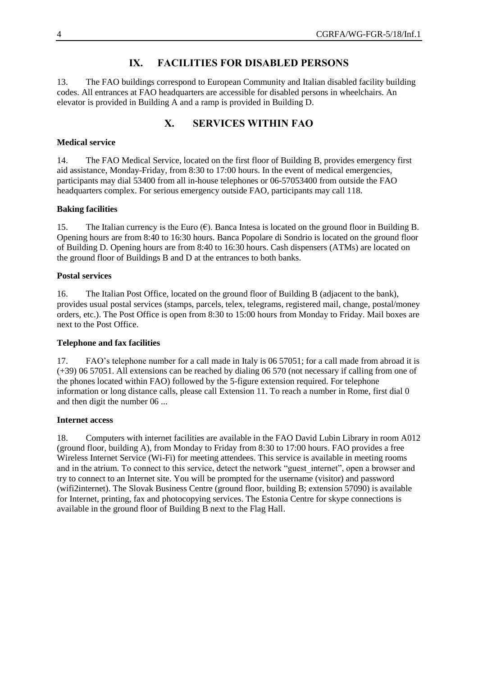# **IX. FACILITIES FOR DISABLED PERSONS**

13. The FAO buildings correspond to European Community and Italian disabled facility building codes. All entrances at FAO headquarters are accessible for disabled persons in wheelchairs. An elevator is provided in Building A and a ramp is provided in Building D.

# **X. SERVICES WITHIN FAO**

## **Medical service**

14. The FAO Medical Service, located on the first floor of Building B, provides emergency first aid assistance, Monday-Friday, from 8:30 to 17:00 hours. In the event of medical emergencies, participants may dial 53400 from all in-house telephones or 06-57053400 from outside the FAO headquarters complex. For serious emergency outside FAO, participants may call 118.

#### **Baking facilities**

15. The Italian currency is the Euro  $(\epsilon)$ . Banca Intesa is located on the ground floor in Building B. Opening hours are from 8:40 to 16:30 hours. Banca Popolare di Sondrio is located on the ground floor of Building D. Opening hours are from 8:40 to 16:30 hours. Cash dispensers (ATMs) are located on the ground floor of Buildings B and D at the entrances to both banks.

#### **Postal services**

16. The Italian Post Office, located on the ground floor of Building B (adjacent to the bank), provides usual postal services (stamps, parcels, telex, telegrams, registered mail, change, postal/money orders, etc.). The Post Office is open from 8:30 to 15:00 hours from Monday to Friday. Mail boxes are next to the Post Office.

## **Telephone and fax facilities**

17. FAO's telephone number for a call made in Italy is 06 57051; for a call made from abroad it is (+39) 06 57051. All extensions can be reached by dialing 06 570 (not necessary if calling from one of the phones located within FAO) followed by the 5-figure extension required. For telephone information or long distance calls, please call Extension 11. To reach a number in Rome, first dial 0 and then digit the number 06 ...

#### **Internet access**

18. Computers with internet facilities are available in the FAO David Lubin Library in room A012 (ground floor, building A), from Monday to Friday from 8:30 to 17:00 hours. FAO provides a free Wireless Internet Service (Wi-Fi) for meeting attendees. This service is available in meeting rooms and in the atrium. To connect to this service, detect the network "guest\_internet", open a browser and try to connect to an Internet site. You will be prompted for the username (visitor) and password (wifi2internet). The Slovak Business Centre (ground floor, building B; extension 57090) is available for Internet, printing, fax and photocopying services. The Estonia Centre for skype connections is available in the ground floor of Building B next to the Flag Hall.